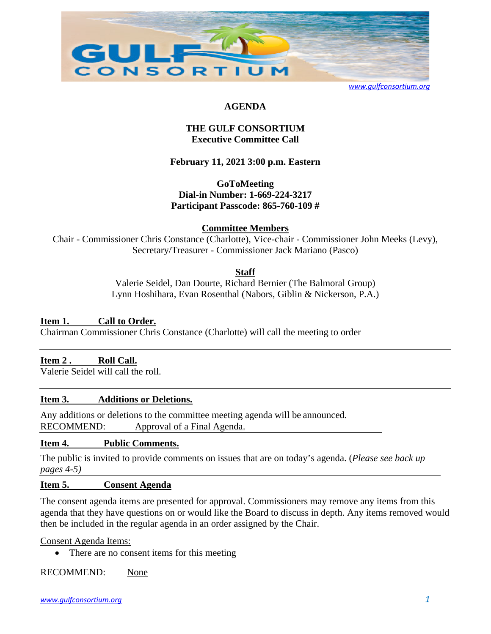

*[www.gulfconsortium.org](http://www.gulfconsortium.org/)*

## **AGENDA**

## **THE GULF CONSORTIUM Executive Committee Call**

## **February 11, 2021 3:00 p.m. Eastern**

**GoToMeeting Dial-in Number: 1-669-224-3217 Participant Passcode: 865-760-109 #**

## **Committee Members**

Chair - Commissioner Chris Constance (Charlotte), Vice-chair - Commissioner John Meeks (Levy), Secretary/Treasurer - Commissioner Jack Mariano (Pasco)

#### **Staff**

Valerie Seidel, Dan Dourte, Richard Bernier (The Balmoral Group) Lynn Hoshihara, Evan Rosenthal (Nabors, Giblin & Nickerson, P.A.)

#### **Item 1. Call to Order.**

Chairman Commissioner Chris Constance (Charlotte) will call the meeting to order

#### **Item 2 . Roll Call.**

Valerie Seidel will call the roll.

#### **Item 3. Additions or Deletions.**

Any additions or deletions to the committee meeting agenda will be announced. RECOMMEND: Approval of a Final Agenda.

#### **Item 4. Public Comments.**

The public is invited to provide comments on issues that are on today's agenda. (*Please see back up pages 4-5)* 

#### **Item 5. Consent Agenda**

The consent agenda items are presented for approval. Commissioners may remove any items from this agenda that they have questions on or would like the Board to discuss in depth. Any items removed would then be included in the regular agenda in an order assigned by the Chair.

Consent Agenda Items:

• There are no consent items for this meeting

RECOMMEND: None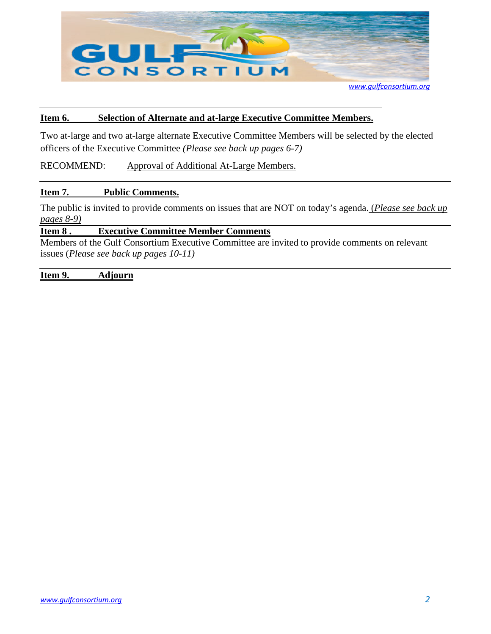

*[www.gulfconsortium.org](http://www.gulfconsortium.org/)*

#### **Item 6. Selection of Alternate and at-large Executive Committee Members.**

Two at-large and two at-large alternate Executive Committee Members will be selected by the elected officers of the Executive Committee *(Please see back up pages 6-7)* 

RECOMMEND: Approval of Additional At-Large Members.

#### **Item 7. Public Comments.**

The public is invited to provide comments on issues that are NOT on today's agenda. (*Please see back up pages 8-9)*

#### **Item 8 . Executive Committee Member Comments**

Members of the Gulf Consortium Executive Committee are invited to provide comments on relevant issues (*Please see back up pages 10-11)* 

**Item 9. Adjourn**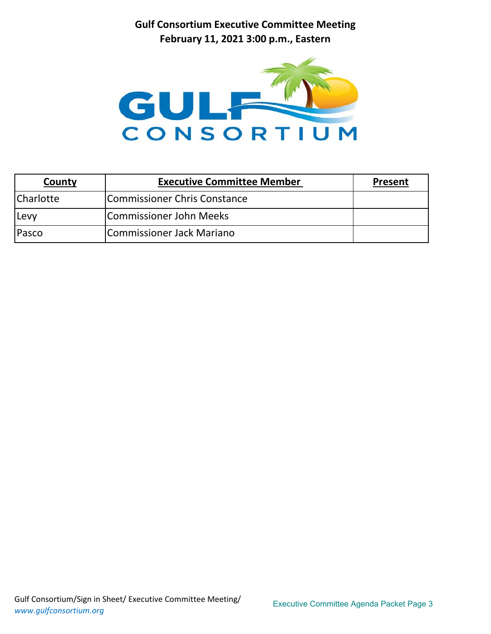**Gulf Consortium Executive Committee Meeting February 11, 2021 3:00 p.m., Eastern**



| County      | <b>Executive Committee Member</b> | Present |
|-------------|-----------------------------------|---------|
| Charlotte   | Commissioner Chris Constance      |         |
| <b>Levy</b> | Commissioner John Meeks           |         |
| Pasco       | Commissioner Jack Mariano         |         |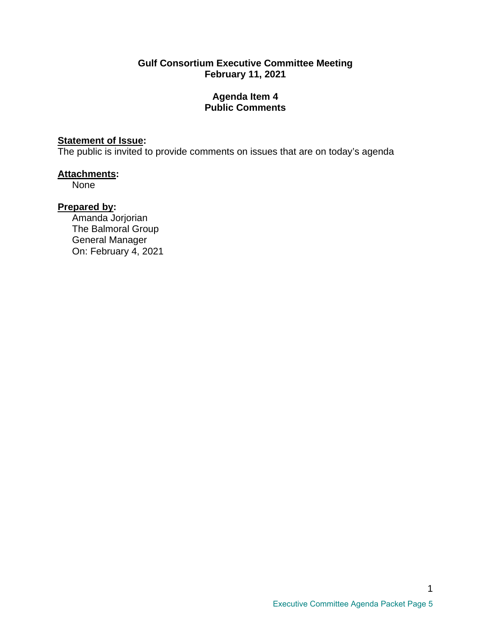## **Gulf Consortium Executive Committee Meeting February 11, 2021**

## **Agenda Item 4 Public Comments**

# **Statement of Issue:**

The public is invited to provide comments on issues that are on today's agenda

## **Attachments:**

None

# **Prepared by:**

Amanda Jorjorian The Balmoral Group General Manager On: February 4, 2021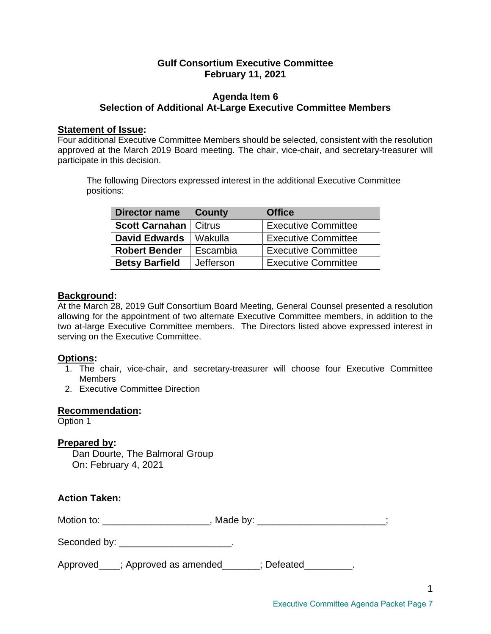## **Gulf Consortium Executive Committee February 11, 2021**

## **Agenda Item 6 Selection of Additional At-Large Executive Committee Members**

#### **Statement of Issue:**

Four additional Executive Committee Members should be selected, consistent with the resolution approved at the March 2019 Board meeting. The chair, vice-chair, and secretary-treasurer will participate in this decision.

The following Directors expressed interest in the additional Executive Committee positions:

| <b>Director name</b>           | County    | <b>Office</b>              |
|--------------------------------|-----------|----------------------------|
| <b>Scott Carnahan   Citrus</b> |           | <b>Executive Committee</b> |
| <b>David Edwards</b>           | Wakulla   | <b>Executive Committee</b> |
| <b>Robert Bender</b>           | Escambia  | <b>Executive Committee</b> |
| <b>Betsy Barfield</b>          | Jefferson | <b>Executive Committee</b> |

## **Background:**

At the March 28, 2019 Gulf Consortium Board Meeting, General Counsel presented a resolution allowing for the appointment of two alternate Executive Committee members, in addition to the two at-large Executive Committee members. The Directors listed above expressed interest in serving on the Executive Committee.

## **Options:**

- 1. The chair, vice-chair, and secretary-treasurer will choose four Executive Committee **Members**
- 2. Executive Committee Direction

#### **Recommendation:**

Option 1

## **Prepared by:**

Dan Dourte, The Balmoral Group On: February 4, 2021

| <b>Action Taken:</b>                                                             |  |
|----------------------------------------------------------------------------------|--|
| Motion to: ________________________, Made by: __________________________________ |  |
| Seconded by: __________________________.                                         |  |
| Approved___; Approved as amended_____; Defeated________.                         |  |

1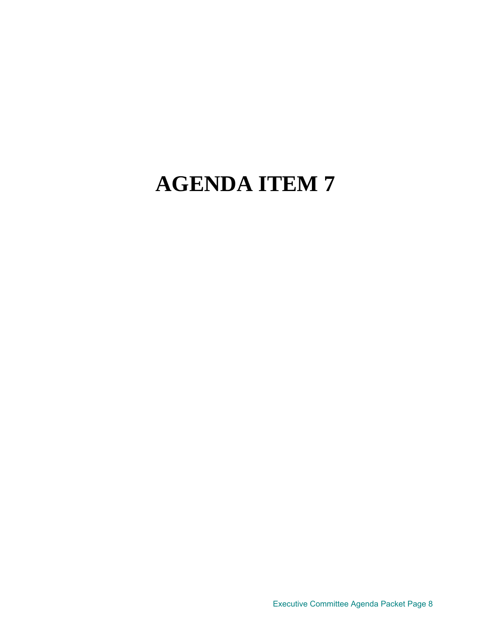Executive Committee Agenda Packet Page 8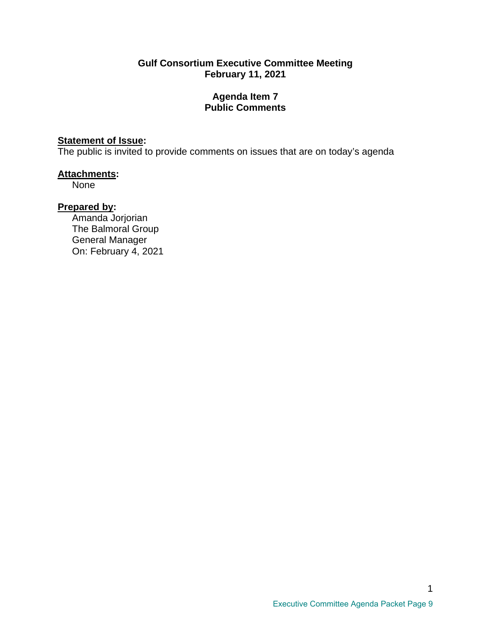## **Gulf Consortium Executive Committee Meeting February 11, 2021**

## **Agenda Item 7 Public Comments**

# **Statement of Issue:**

The public is invited to provide comments on issues that are on today's agenda

## **Attachments:**

None

# **Prepared by:**

Amanda Jorjorian The Balmoral Group General Manager On: February 4, 2021